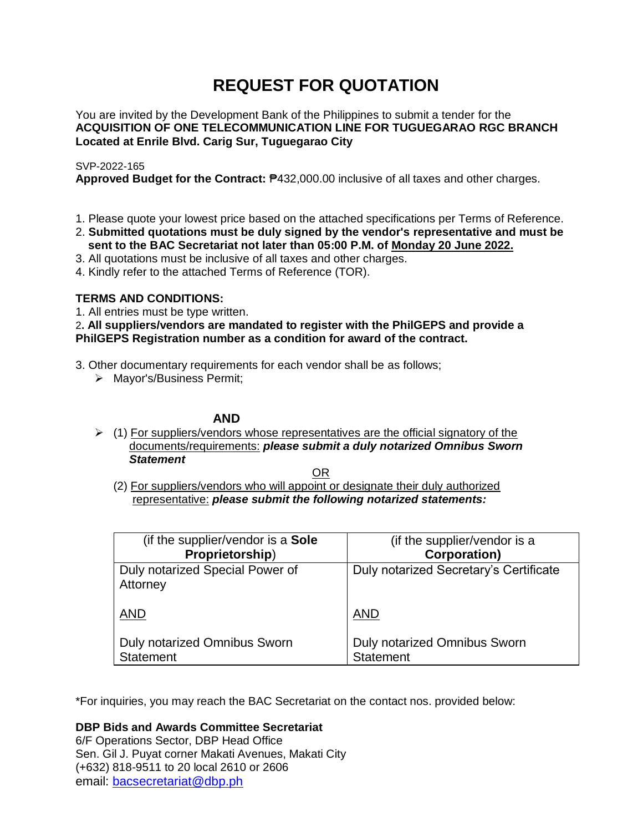# **REQUEST FOR QUOTATION**

You are invited by the Development Bank of the Philippines to submit a tender for the **ACQUISITION OF ONE TELECOMMUNICATION LINE FOR TUGUEGARAO RGC BRANCH Located at Enrile Blvd. Carig Sur, Tuguegarao City**

# SVP-2022-165

**Approved Budget for the Contract:** ₱432,000.00 inclusive of all taxes and other charges.

- 1. Please quote your lowest price based on the attached specifications per Terms of Reference.
- 2. **Submitted quotations must be duly signed by the vendor's representative and must be sent to the BAC Secretariat not later than 05:00 P.M. of Monday 20 June 2022.**
- 3. All quotations must be inclusive of all taxes and other charges.
- 4. Kindly refer to the attached Terms of Reference (TOR).

# **TERMS AND CONDITIONS:**

1. All entries must be type written.

2**. All suppliers/vendors are mandated to register with the PhilGEPS and provide a PhilGEPS Registration number as a condition for award of the contract.**

- 3. Other documentary requirements for each vendor shall be as follows;
	- > Mayor's/Business Permit;

# **AND**

 $\geq$  (1) For suppliers/vendors whose representatives are the official signatory of the documents/requirements: *please submit a duly notarized Omnibus Sworn Statement*

<u>OR Starting and the Starting OR Starting</u>

(2) For suppliers/vendors who will appoint or designate their duly authorized representative: *please submit the following notarized statements:*

| (if the supplier/vendor is a Sole                       | (if the supplier/vendor is a                            |
|---------------------------------------------------------|---------------------------------------------------------|
| Proprietorship)                                         | <b>Corporation)</b>                                     |
| Duly notarized Special Power of<br>Attorney             | Duly notarized Secretary's Certificate                  |
| <b>AND</b>                                              | <b>AND</b>                                              |
| <b>Duly notarized Omnibus Sworn</b><br><b>Statement</b> | <b>Duly notarized Omnibus Sworn</b><br><b>Statement</b> |

\*For inquiries, you may reach the BAC Secretariat on the contact nos. provided below:

**DBP Bids and Awards Committee Secretariat** 

6/F Operations Sector, DBP Head Office Sen. Gil J. Puyat corner Makati Avenues, Makati City (+632) 818-9511 to 20 local 2610 or 2606 email: [bacsecretariat@dbp.ph](mailto:bacsecretariat@dbp.ph)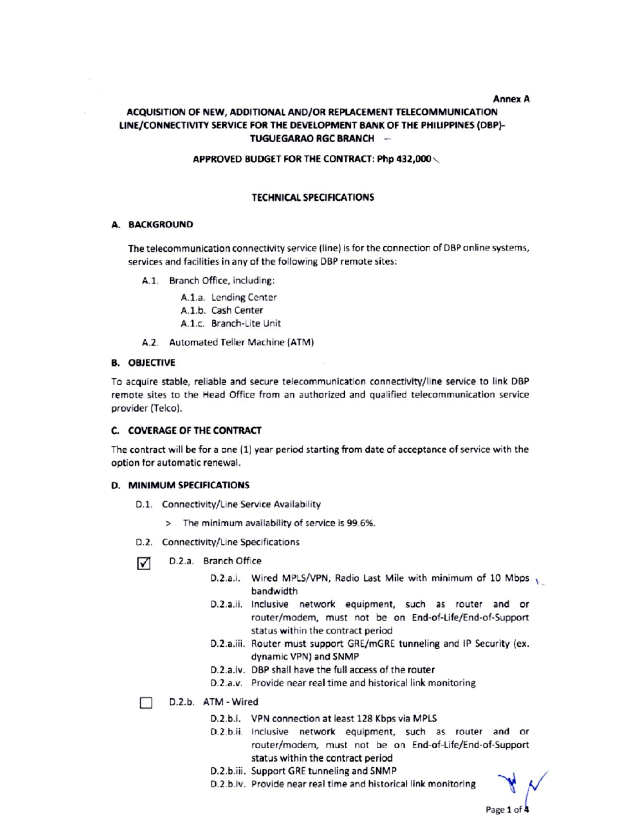#### **Annex A**

# ACQUISITION OF NEW, ADDITIONAL AND/OR REPLACEMENT TELECOMMUNICATION LINE/CONNECTIVITY SERVICE FOR THE DEVELOPMENT BANK OF THE PHILIPPINES (DBP)-TUGUEGARAO RGC BRANCH -

#### APPROVED BUDGET FOR THE CONTRACT: Php 432,000

## **TECHNICAL SPECIFICATIONS**

## A. BACKGROUND

The telecommunication connectivity service (line) is for the connection of DBP online systems, services and facilities in any of the following DBP remote sites:

A.1. Branch Office, including:

A.1.a. Lending Center A.1.b. Cash Center

A.1.c. Branch-Lite Unit

A.2. Automated Teller Machine (ATM)

## **B. OBJECTIVE**

To acquire stable, reliable and secure telecommunication connectivity/line service to link DBP remote sites to the Head Office from an authorized and qualified telecommunication service provider (Telco).

#### C. COVERAGE OF THE CONTRACT

The contract will be for a one (1) year period starting from date of acceptance of service with the option for automatic renewal.

#### D. MINIMUM SPECIFICATIONS

- D.1. Connectivity/Line Service Availability
	- > The minimum availability of service is 99.6%.
- D.2. Connectivity/Line Specifications
- D.2.a. Branch Office ☑
	- D.2.a.i. Wired MPLS/VPN, Radio Last Mile with minimum of 10 Mbps bandwidth
	- D.2.a.ii. Inclusive network equipment, such as router and or router/modem, must not be on End-of-Life/End-of-Support status within the contract period
	- D.2.a.iii. Router must support GRE/mGRE tunneling and IP Security (ex. dynamic VPN) and SNMP
	- D.2.a.iv. DBP shall have the full access of the router
	- D.2.a.v. Provide near real time and historical link monitoring

D.2.b. ATM - Wired П

- D.2.b.i. VPN connection at least 128 Kbps via MPLS
- D.2.b.ii. Inclusive network equipment, such as router and or router/modem, must not be on End-of-Life/End-of-Support status within the contract period
- D.2.b.iii. Support GRE tunneling and SNMP
- D.2.b.iv. Provide near real time and historical link monitoring

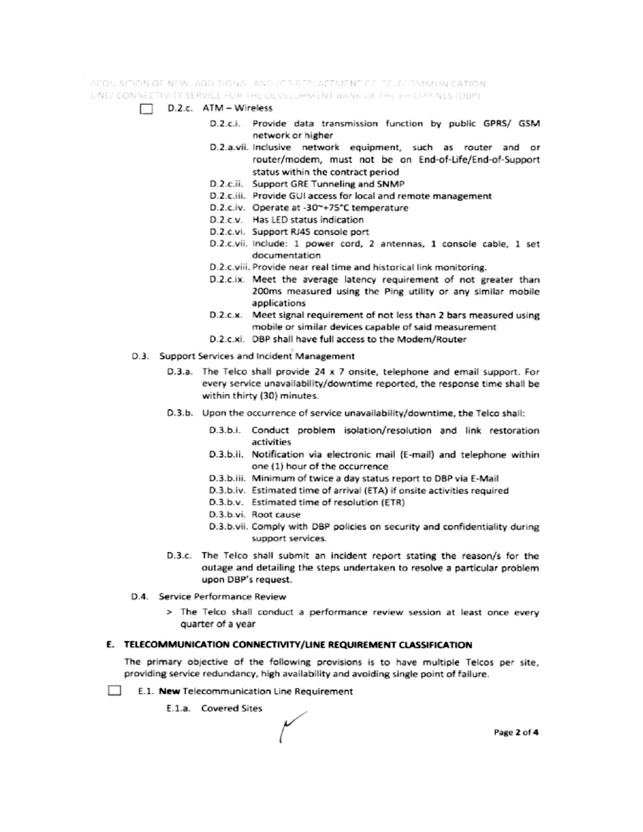ACQUISITION OF NEW, ADDITIONAL AND JOR REPLACEMENT OF TELECOMMUNICATION. LINE/ CONNECTIVITY SERVICE FOR THE DEVELOPMENT BANK OF THE PHILIPPINES (DBP)

- $\Box$  D.2.c. ATM Wireless
	- D.2.c.i. Provide data transmission function by public GPRS/ GSM network or higher
	- D.2.a.vii. Inclusive network equipment, such as router and or router/modem, must not be on End-of-Life/End-of-Support status within the contract period
	- D.2.c.ii. Support GRE Tunneling and SNMP
	- D.2.c.iii. Provide GUI access for local and remote management
	- D.2.c.iv. Operate at -30~+75°C temperature
	- D.2.c.v. Has LED status indication
	- D.2.c.vi. Support RJ45 console port
	- D.2.c.vii. Include: 1 power cord, 2 antennas, 1 console cable, 1 set documentation
	- D.2.c.viii. Provide near real time and historical link monitoring.
	- D.2.c.ix. Meet the average latency requirement of not greater than 200ms measured using the Ping utility or any similar mobile applications
	- D.2.c.x. Meet signal requirement of not less than 2 bars measured using mobile or similar devices capable of said measurement
	- D.2.c.xi. DBP shall have full access to the Modem/Router
- D.3. Support Services and Incident Management
	- D.3.a. The Telco shall provide 24 x 7 onsite, telephone and email support. For every service unavailability/downtime reported, the response time shall be within thirty (30) minutes.
	- D.3.b. Upon the occurrence of service unavailability/downtime, the Telco shall:
		- D.3.b.i. Conduct problem isolation/resolution and link restoration activities
		- D.3.b.ii. Notification via electronic mail (E-mail) and telephone within one (1) hour of the occurrence
		- D.3.b.iii. Minimum of twice a day status report to DBP via E-Mail
		- D.3.b.iv. Estimated time of arrival (ETA) if onsite activities required
		- D.3.b.v. Estimated time of resolution (ETR)
		- D.3.b.vi. Root cause
		- D.3.b.vii. Comply with DBP policies on security and confidentiality during support services.
	- D.3.c. The Telco shall submit an incident report stating the reason/s for the outage and detailing the steps undertaken to resolve a particular problem upon DBP's request.
- D.4. Service Performance Review
	- > The Telco shall conduct a performance review session at least once every quarter of a year

## E. TELECOMMUNICATION CONNECTIVITY/LINE REQUIREMENT CLASSIFICATION

The primary objective of the following provisions is to have multiple Telcos per site, providing service redundancy, high availability and avoiding single point of failure.

- $\sim$ E.1. New Telecommunication Line Requirement
	- E.1.a. Covered Sites

Page 2 of 4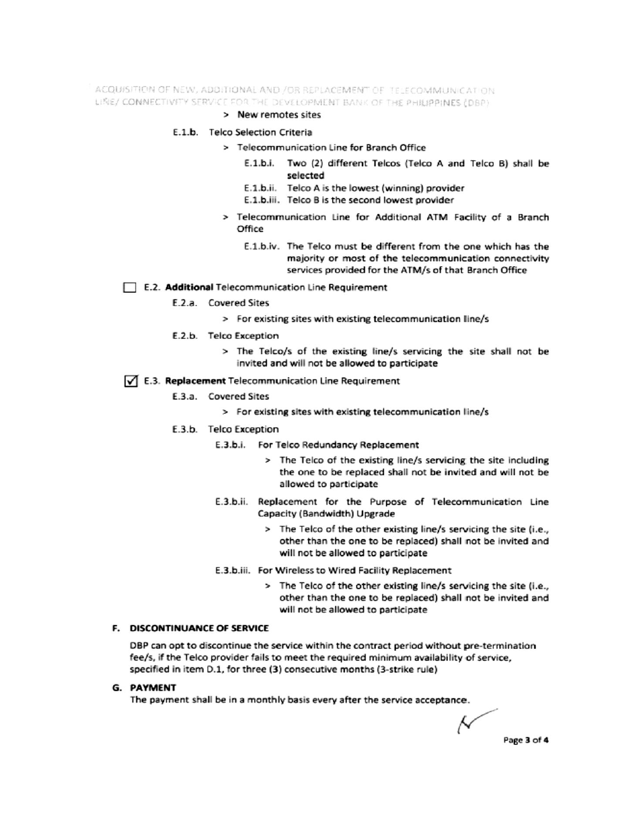ACQUISITION OF NEW, ADDITIONAL AND /OR REPLACEMENT OF TELECOMMUNICATION LINE/ CONNECTIVITY SERVICE FOR THE DEVELOPMENT BANK OF THE PHILIPPINES (DBP)

#### > New remotes sites

#### E.1.b. Telco Selection Criteria

- > Telecommunication Line for Branch Office
	- E.1.b.i. Two (2) different Telcos (Telco A and Telco B) shall be selected
	- E.1.b.ii. Telco A is the lowest (winning) provider
	- E.1.b.iii. Telco B is the second lowest provider
- > Telecommunication Line for Additional ATM Facility of a Branch Office
	- E.1.b.iv. The Telco must be different from the one which has the majority or most of the telecommunication connectivity services provided for the ATM/s of that Branch Office

#### E.2. Additional Telecommunication Line Requirement

- E.2.a. Covered Sites
	- > For existing sites with existing telecommunication line/s
- E.2.b. Telco Exception
	- > The Telco/s of the existing line/s servicing the site shall not be invited and will not be allowed to participate

## √ E.3. Replacement Telecommunication Line Requirement

- E.3.a. Covered Sites
	- > For existing sites with existing telecommunication line/s
- E.3.b. Telco Exception
	- E.3.b.i. For Telco Redundancy Replacement
		- > The Telco of the existing line/s servicing the site including the one to be replaced shall not be invited and will not be allowed to participate
	- E.3.b.ii. Replacement for the Purpose of Telecommunication Line Capacity (Bandwidth) Upgrade
		- > The Telco of the other existing line/s servicing the site (i.e., other than the one to be replaced) shall not be invited and will not be allowed to participate
	- E.3.b.iii. For Wireless to Wired Facility Replacement
		- > The Telco of the other existing line/s servicing the site (i.e., other than the one to be replaced) shall not be invited and will not be allowed to participate

# F. DISCONTINUANCE OF SERVICE

DBP can opt to discontinue the service within the contract period without pre-termination fee/s, if the Telco provider fails to meet the required minimum availability of service, specified in item D.1, for three (3) consecutive months (3-strike rule)

#### **G. PAYMENT**

The payment shall be in a monthly basis every after the service acceptance.

Ν Page 3 of 4